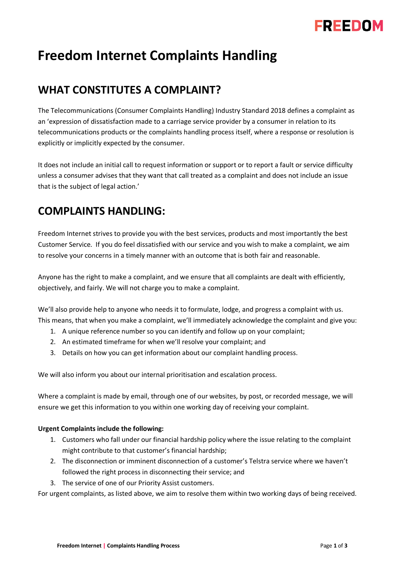

# **Freedom Internet Complaints Handling**

## **WHAT CONSTITUTES A COMPLAINT?**

The Telecommunications (Consumer Complaints Handling) Industry Standard 2018 defines a complaint as an 'expression of dissatisfaction made to a carriage service provider by a consumer in relation to its telecommunications products or the complaints handling process itself, where a response or resolution is explicitly or implicitly expected by the consumer.

It does not include an initial call to request information or support or to report a fault or service difficulty unless a consumer advises that they want that call treated as a complaint and does not include an issue that is the subject of legal action.'

## **COMPLAINTS HANDLING:**

Freedom Internet strives to provide you with the best services, products and most importantly the best Customer Service. If you do feel dissatisfied with our service and you wish to make a complaint, we aim to resolve your concerns in a timely manner with an outcome that is both fair and reasonable.

Anyone has the right to make a complaint, and we ensure that all complaints are dealt with efficiently, objectively, and fairly. We will not charge you to make a complaint.

We'll also provide help to anyone who needs it to formulate, lodge, and progress a complaint with us. This means, that when you make a complaint, we'll immediately acknowledge the complaint and give you:

- 1. A unique reference number so you can identify and follow up on your complaint;
- 2. An estimated timeframe for when we'll resolve your complaint; and
- 3. Details on how you can get information about our complaint handling process.

We will also inform you about our internal prioritisation and escalation process.

Where a complaint is made by email, through one of our websites, by post, or recorded message, we will ensure we get this information to you within one working day of receiving your complaint.

#### **Urgent Complaints include the following:**

- 1. Customers who fall under our financial hardship policy where the issue relating to the complaint might contribute to that customer's financial hardship;
- 2. The disconnection or imminent disconnection of a customer's Telstra service where we haven't followed the right process in disconnecting their service; and
- 3. The service of one of our Priority Assist customers.

For urgent complaints, as listed above, we aim to resolve them within two working days of being received.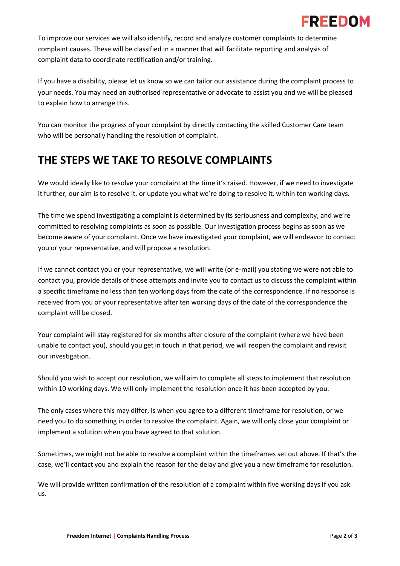## :DEENNI

To improve our services we will also identify, record and analyze customer complaints to determine complaint causes. These will be classified in a manner that will facilitate reporting and analysis of complaint data to coordinate rectification and/or training.

If you have a disability, please let us know so we can tailor our assistance during the complaint process to your needs. You may need an authorised representative or advocate to assist you and we will be pleased to explain how to arrange this.

You can monitor the progress of your complaint by directly contacting the skilled Customer Care team who will be personally handling the resolution of complaint.

## **THE STEPS WE TAKE TO RESOLVE COMPLAINTS**

We would ideally like to resolve your complaint at the time it's raised. However, if we need to investigate it further, our aim is to resolve it, or update you what we're doing to resolve it, within ten working days.

The time we spend investigating a complaint is determined by its seriousness and complexity, and we're committed to resolving complaints as soon as possible. Our investigation process begins as soon as we become aware of your complaint. Once we have investigated your complaint, we will endeavor to contact you or your representative, and will propose a resolution.

If we cannot contact you or your representative, we will write (or e-mail) you stating we were not able to contact you, provide details of those attempts and invite you to contact us to discuss the complaint within a specific timeframe no less than ten working days from the date of the correspondence. If no response is received from you or your representative after ten working days of the date of the correspondence the complaint will be closed.

Your complaint will stay registered for six months after closure of the complaint (where we have been unable to contact you), should you get in touch in that period, we will reopen the complaint and revisit our investigation.

Should you wish to accept our resolution, we will aim to complete all steps to implement that resolution within 10 working days. We will only implement the resolution once it has been accepted by you.

The only cases where this may differ, is when you agree to a different timeframe for resolution, or we need you to do something in order to resolve the complaint. Again, we will only close your complaint or implement a solution when you have agreed to that solution.

Sometimes, we might not be able to resolve a complaint within the timeframes set out above. If that's the case, we'll contact you and explain the reason for the delay and give you a new timeframe for resolution.

We will provide written confirmation of the resolution of a complaint within five working days if you ask us.